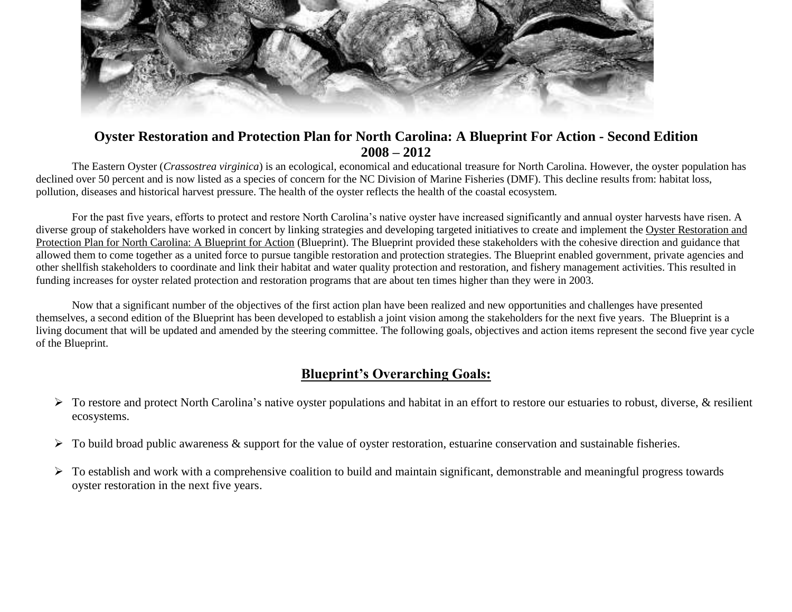

## **Oyster Restoration and Protection Plan for North Carolina: A Blueprint For Action - Second Edition 2008 – 2012**

The Eastern Oyster (*Crassostrea virginica*) is an ecological, economical and educational treasure for North Carolina. However, the oyster population has declined over 50 percent and is now listed as a species of concern for the NC Division of Marine Fisheries (DMF). This decline results from: habitat loss, pollution, diseases and historical harvest pressure. The health of the oyster reflects the health of the coastal ecosystem.

For the past five years, efforts to protect and restore North Carolina's native oyster have increased significantly and annual oyster harvests have risen. A diverse group of stakeholders have worked in concert by linking strategies and developing targeted initiatives to create and implement the Oyster Restoration and Protection Plan for North Carolina: A Blueprint for Action (Blueprint). The Blueprint provided these stakeholders with the cohesive direction and guidance that allowed them to come together as a united force to pursue tangible restoration and protection strategies. The Blueprint enabled government, private agencies and other shellfish stakeholders to coordinate and link their habitat and water quality protection and restoration, and fishery management activities. This resulted in funding increases for oyster related protection and restoration programs that are about ten times higher than they were in 2003.

Now that a significant number of the objectives of the first action plan have been realized and new opportunities and challenges have presented themselves, a second edition of the Blueprint has been developed to establish a joint vision among the stakeholders for the next five years. The Blueprint is a living document that will be updated and amended by the steering committee. The following goals, objectives and action items represent the second five year cycle of the Blueprint.

## **Blueprint's Overarching Goals:**

- $\triangleright$  To restore and protect North Carolina's native oyster populations and habitat in an effort to restore our estuaries to robust, diverse, & resilient ecosystems.
- $\triangleright$  To build broad public awareness & support for the value of oyster restoration, estuarine conservation and sustainable fisheries.
- $\triangleright$  To establish and work with a comprehensive coalition to build and maintain significant, demonstrable and meaningful progress towards oyster restoration in the next five years.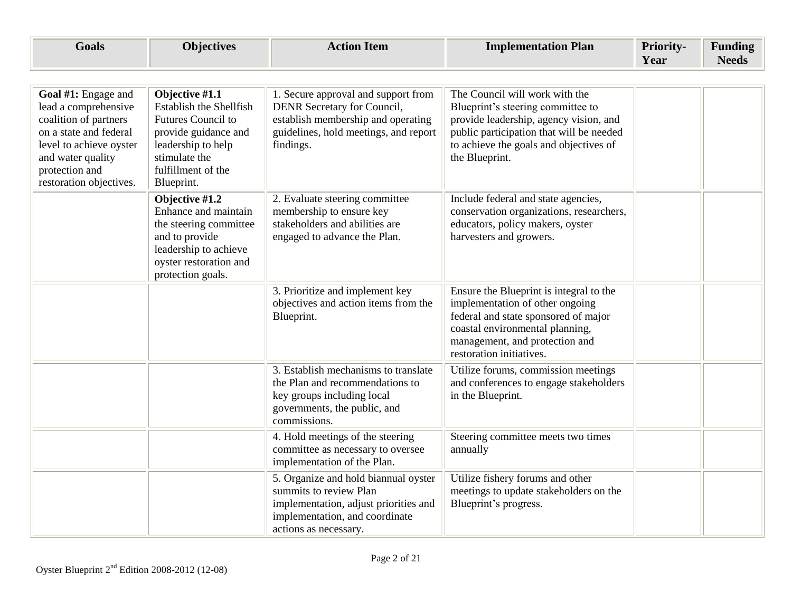| <b>Goals</b>                                                                                                                                                                                | <b>Objectives</b>                                                                                                                                                         | <b>Action Item</b>                                                                                                                                                 | <b>Implementation Plan</b>                                                                                                                                                                                            | Priority-<br>Year | <b>Funding</b><br><b>Needs</b> |
|---------------------------------------------------------------------------------------------------------------------------------------------------------------------------------------------|---------------------------------------------------------------------------------------------------------------------------------------------------------------------------|--------------------------------------------------------------------------------------------------------------------------------------------------------------------|-----------------------------------------------------------------------------------------------------------------------------------------------------------------------------------------------------------------------|-------------------|--------------------------------|
|                                                                                                                                                                                             |                                                                                                                                                                           |                                                                                                                                                                    |                                                                                                                                                                                                                       |                   |                                |
| Goal #1: Engage and<br>lead a comprehensive<br>coalition of partners<br>on a state and federal<br>level to achieve oyster<br>and water quality<br>protection and<br>restoration objectives. | Objective #1.1<br><b>Establish the Shellfish</b><br>Futures Council to<br>provide guidance and<br>leadership to help<br>stimulate the<br>fulfillment of the<br>Blueprint. | 1. Secure approval and support from<br>DENR Secretary for Council,<br>establish membership and operating<br>guidelines, hold meetings, and report<br>findings.     | The Council will work with the<br>Blueprint's steering committee to<br>provide leadership, agency vision, and<br>public participation that will be needed<br>to achieve the goals and objectives of<br>the Blueprint. |                   |                                |
|                                                                                                                                                                                             | Objective #1.2<br>Enhance and maintain<br>the steering committee<br>and to provide<br>leadership to achieve<br>oyster restoration and<br>protection goals.                | 2. Evaluate steering committee<br>membership to ensure key<br>stakeholders and abilities are<br>engaged to advance the Plan.                                       | Include federal and state agencies,<br>conservation organizations, researchers,<br>educators, policy makers, oyster<br>harvesters and growers.                                                                        |                   |                                |
|                                                                                                                                                                                             |                                                                                                                                                                           | 3. Prioritize and implement key<br>objectives and action items from the<br>Blueprint.                                                                              | Ensure the Blueprint is integral to the<br>implementation of other ongoing<br>federal and state sponsored of major<br>coastal environmental planning,<br>management, and protection and<br>restoration initiatives.   |                   |                                |
|                                                                                                                                                                                             |                                                                                                                                                                           | 3. Establish mechanisms to translate<br>the Plan and recommendations to<br>key groups including local<br>governments, the public, and<br>commissions.              | Utilize forums, commission meetings<br>and conferences to engage stakeholders<br>in the Blueprint.                                                                                                                    |                   |                                |
|                                                                                                                                                                                             |                                                                                                                                                                           | 4. Hold meetings of the steering<br>committee as necessary to oversee<br>implementation of the Plan.                                                               | Steering committee meets two times<br>annually                                                                                                                                                                        |                   |                                |
|                                                                                                                                                                                             |                                                                                                                                                                           | 5. Organize and hold biannual oyster<br>summits to review Plan<br>implementation, adjust priorities and<br>implementation, and coordinate<br>actions as necessary. | Utilize fishery forums and other<br>meetings to update stakeholders on the<br>Blueprint's progress.                                                                                                                   |                   |                                |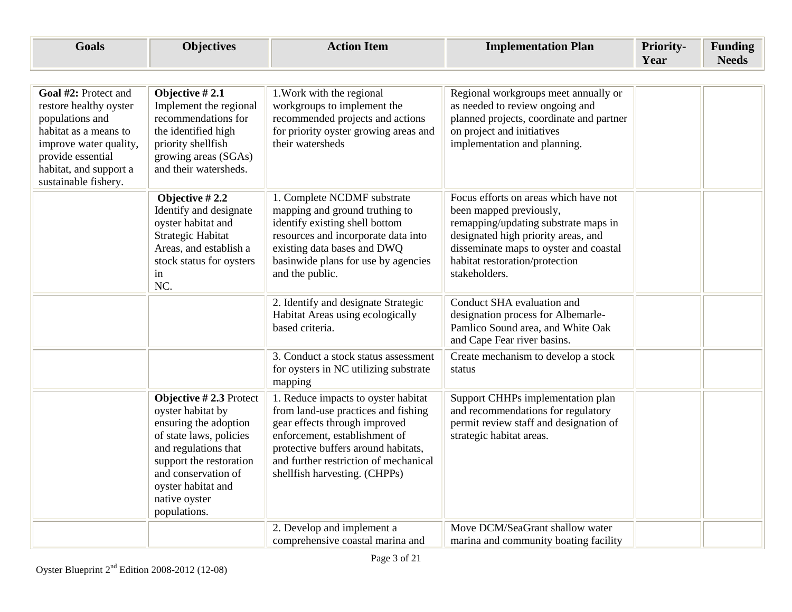| <b>Goals</b>                                                                                                                                                                                | <b>Objectives</b>                                                                                                                                                                                                                  | <b>Action Item</b>                                                                                                                                                                                                                                            | <b>Implementation Plan</b>                                                                                                                                                                                                                   | Priority-<br>Year | <b>Funding</b><br><b>Needs</b> |
|---------------------------------------------------------------------------------------------------------------------------------------------------------------------------------------------|------------------------------------------------------------------------------------------------------------------------------------------------------------------------------------------------------------------------------------|---------------------------------------------------------------------------------------------------------------------------------------------------------------------------------------------------------------------------------------------------------------|----------------------------------------------------------------------------------------------------------------------------------------------------------------------------------------------------------------------------------------------|-------------------|--------------------------------|
|                                                                                                                                                                                             |                                                                                                                                                                                                                                    |                                                                                                                                                                                                                                                               |                                                                                                                                                                                                                                              |                   |                                |
| Goal #2: Protect and<br>restore healthy oyster<br>populations and<br>habitat as a means to<br>improve water quality,<br>provide essential<br>habitat, and support a<br>sustainable fishery. | Objective #2.1<br>Implement the regional<br>recommendations for<br>the identified high<br>priority shellfish<br>growing areas (SGAs)<br>and their watersheds.                                                                      | 1. Work with the regional<br>workgroups to implement the<br>recommended projects and actions<br>for priority oyster growing areas and<br>their watersheds                                                                                                     | Regional workgroups meet annually or<br>as needed to review ongoing and<br>planned projects, coordinate and partner<br>on project and initiatives<br>implementation and planning.                                                            |                   |                                |
|                                                                                                                                                                                             | Objective #2.2<br>Identify and designate<br>oyster habitat and<br>Strategic Habitat<br>Areas, and establish a<br>stock status for oysters<br>in<br>NC.                                                                             | 1. Complete NCDMF substrate<br>mapping and ground truthing to<br>identify existing shell bottom<br>resources and incorporate data into<br>existing data bases and DWQ<br>basinwide plans for use by agencies<br>and the public.                               | Focus efforts on areas which have not<br>been mapped previously,<br>remapping/updating substrate maps in<br>designated high priority areas, and<br>disseminate maps to oyster and coastal<br>habitat restoration/protection<br>stakeholders. |                   |                                |
|                                                                                                                                                                                             |                                                                                                                                                                                                                                    | 2. Identify and designate Strategic<br>Habitat Areas using ecologically<br>based criteria.                                                                                                                                                                    | Conduct SHA evaluation and<br>designation process for Albemarle-<br>Pamlico Sound area, and White Oak<br>and Cape Fear river basins.                                                                                                         |                   |                                |
|                                                                                                                                                                                             |                                                                                                                                                                                                                                    | 3. Conduct a stock status assessment<br>for oysters in NC utilizing substrate<br>mapping                                                                                                                                                                      | Create mechanism to develop a stock<br>status                                                                                                                                                                                                |                   |                                |
|                                                                                                                                                                                             | Objective $#2.3$ Protect<br>oyster habitat by<br>ensuring the adoption<br>of state laws, policies<br>and regulations that<br>support the restoration<br>and conservation of<br>oyster habitat and<br>native oyster<br>populations. | 1. Reduce impacts to oyster habitat<br>from land-use practices and fishing<br>gear effects through improved<br>enforcement, establishment of<br>protective buffers around habitats,<br>and further restriction of mechanical<br>shellfish harvesting. (CHPPs) | Support CHHPs implementation plan<br>and recommendations for regulatory<br>permit review staff and designation of<br>strategic habitat areas.                                                                                                |                   |                                |
|                                                                                                                                                                                             |                                                                                                                                                                                                                                    | 2. Develop and implement a<br>comprehensive coastal marina and                                                                                                                                                                                                | Move DCM/SeaGrant shallow water<br>marina and community boating facility                                                                                                                                                                     |                   |                                |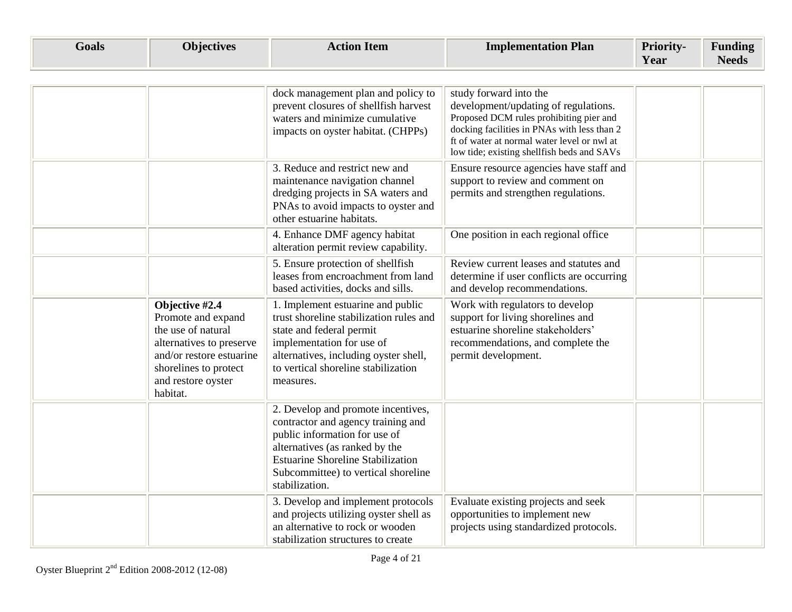| <b>Goals</b> | <b>Objectives</b>                                                                                                                                                             | <b>Action Item</b>                                                                                                                                                                                                                               | <b>Implementation Plan</b>                                                                                                                                                                                                                            | Priority-<br>Year | <b>Funding</b><br><b>Needs</b> |
|--------------|-------------------------------------------------------------------------------------------------------------------------------------------------------------------------------|--------------------------------------------------------------------------------------------------------------------------------------------------------------------------------------------------------------------------------------------------|-------------------------------------------------------------------------------------------------------------------------------------------------------------------------------------------------------------------------------------------------------|-------------------|--------------------------------|
|              |                                                                                                                                                                               | dock management plan and policy to<br>prevent closures of shellfish harvest<br>waters and minimize cumulative<br>impacts on oyster habitat. (CHPPs)                                                                                              | study forward into the<br>development/updating of regulations.<br>Proposed DCM rules prohibiting pier and<br>docking facilities in PNAs with less than 2<br>ft of water at normal water level or nwl at<br>low tide; existing shellfish beds and SAVs |                   |                                |
|              |                                                                                                                                                                               | 3. Reduce and restrict new and<br>maintenance navigation channel<br>dredging projects in SA waters and<br>PNAs to avoid impacts to oyster and<br>other estuarine habitats.                                                                       | Ensure resource agencies have staff and<br>support to review and comment on<br>permits and strengthen regulations.                                                                                                                                    |                   |                                |
|              |                                                                                                                                                                               | 4. Enhance DMF agency habitat<br>alteration permit review capability.                                                                                                                                                                            | One position in each regional office                                                                                                                                                                                                                  |                   |                                |
|              |                                                                                                                                                                               | 5. Ensure protection of shellfish<br>leases from encroachment from land<br>based activities, docks and sills.                                                                                                                                    | Review current leases and statutes and<br>determine if user conflicts are occurring<br>and develop recommendations.                                                                                                                                   |                   |                                |
|              | Objective #2.4<br>Promote and expand<br>the use of natural<br>alternatives to preserve<br>and/or restore estuarine<br>shorelines to protect<br>and restore oyster<br>habitat. | 1. Implement estuarine and public<br>trust shoreline stabilization rules and<br>state and federal permit<br>implementation for use of<br>alternatives, including oyster shell,<br>to vertical shoreline stabilization<br>measures.               | Work with regulators to develop<br>support for living shorelines and<br>estuarine shoreline stakeholders'<br>recommendations, and complete the<br>permit development.                                                                                 |                   |                                |
|              |                                                                                                                                                                               | 2. Develop and promote incentives,<br>contractor and agency training and<br>public information for use of<br>alternatives (as ranked by the<br><b>Estuarine Shoreline Stabilization</b><br>Subcommittee) to vertical shoreline<br>stabilization. |                                                                                                                                                                                                                                                       |                   |                                |
|              |                                                                                                                                                                               | 3. Develop and implement protocols<br>and projects utilizing oyster shell as<br>an alternative to rock or wooden<br>stabilization structures to create                                                                                           | Evaluate existing projects and seek<br>opportunities to implement new<br>projects using standardized protocols.                                                                                                                                       |                   |                                |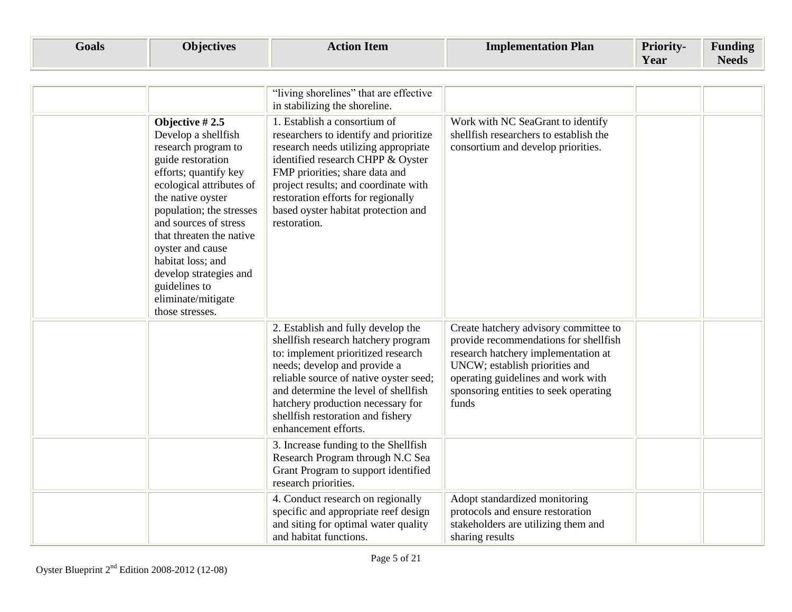| <b>Goals</b> | <b>Objectives</b> | <b>ction Item</b> | Plan<br>Implementation I | <b>Priority-</b> | $\mathbf{r}$<br>$\blacksquare$<br>Funding |
|--------------|-------------------|-------------------|--------------------------|------------------|-------------------------------------------|
|              |                   |                   |                          | Year             | <b>Needs</b>                              |

|                                                                                                                                                                                                                                                                                                                                                                             | "living shorelines" that are effective<br>in stabilizing the shoreline.                                                                                                                                                                                                                                                             |                                                                                                                                                                                                                                                 |  |
|-----------------------------------------------------------------------------------------------------------------------------------------------------------------------------------------------------------------------------------------------------------------------------------------------------------------------------------------------------------------------------|-------------------------------------------------------------------------------------------------------------------------------------------------------------------------------------------------------------------------------------------------------------------------------------------------------------------------------------|-------------------------------------------------------------------------------------------------------------------------------------------------------------------------------------------------------------------------------------------------|--|
| Objective $#2.5$<br>Develop a shellfish<br>research program to<br>guide restoration<br>efforts; quantify key<br>ecological attributes of<br>the native oyster<br>population; the stresses<br>and sources of stress<br>that threaten the native<br>oyster and cause<br>habitat loss; and<br>develop strategies and<br>guidelines to<br>eliminate/mitigate<br>those stresses. | 1. Establish a consortium of<br>researchers to identify and prioritize<br>research needs utilizing appropriate<br>identified research CHPP & Oyster<br>FMP priorities; share data and<br>project results; and coordinate with<br>restoration efforts for regionally<br>based oyster habitat protection and<br>restoration.          | Work with NC SeaGrant to identify<br>shellfish researchers to establish the<br>consortium and develop priorities.                                                                                                                               |  |
|                                                                                                                                                                                                                                                                                                                                                                             | 2. Establish and fully develop the<br>shellfish research hatchery program<br>to: implement prioritized research<br>needs; develop and provide a<br>reliable source of native oyster seed;<br>and determine the level of shellfish<br>hatchery production necessary for<br>shellfish restoration and fishery<br>enhancement efforts. | Create hatchery advisory committee to<br>provide recommendations for shellfish<br>research hatchery implementation at<br>UNCW; establish priorities and<br>operating guidelines and work with<br>sponsoring entities to seek operating<br>funds |  |
|                                                                                                                                                                                                                                                                                                                                                                             | 3. Increase funding to the Shellfish<br>Research Program through N.C Sea<br>Grant Program to support identified<br>research priorities.                                                                                                                                                                                             |                                                                                                                                                                                                                                                 |  |
|                                                                                                                                                                                                                                                                                                                                                                             | 4. Conduct research on regionally<br>specific and appropriate reef design<br>and siting for optimal water quality<br>and habitat functions.                                                                                                                                                                                         | Adopt standardized monitoring<br>protocols and ensure restoration<br>stakeholders are utilizing them and<br>sharing results                                                                                                                     |  |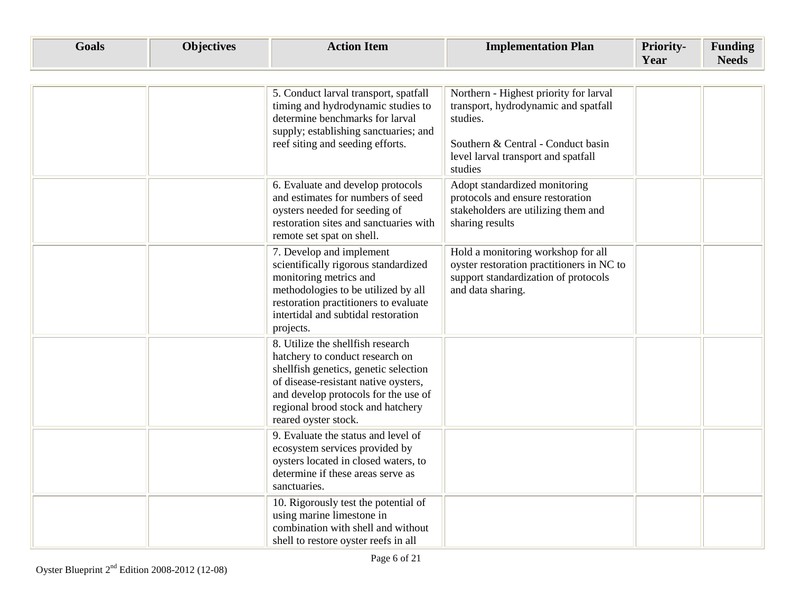| <b>Goals</b> | <b>Objectives</b> | <b>Action Item</b>                                                                                                                                                                                                                                         | <b>Implementation Plan</b>                                                                                                                                                         | <b>Priority-</b><br>Year | <b>Funding</b><br><b>Needs</b> |
|--------------|-------------------|------------------------------------------------------------------------------------------------------------------------------------------------------------------------------------------------------------------------------------------------------------|------------------------------------------------------------------------------------------------------------------------------------------------------------------------------------|--------------------------|--------------------------------|
|              |                   | 5. Conduct larval transport, spatfall<br>timing and hydrodynamic studies to<br>determine benchmarks for larval<br>supply; establishing sanctuaries; and<br>reef siting and seeding efforts.                                                                | Northern - Highest priority for larval<br>transport, hydrodynamic and spatfall<br>studies.<br>Southern & Central - Conduct basin<br>level larval transport and spatfall<br>studies |                          |                                |
|              |                   | 6. Evaluate and develop protocols<br>and estimates for numbers of seed<br>oysters needed for seeding of<br>restoration sites and sanctuaries with<br>remote set spat on shell.                                                                             | Adopt standardized monitoring<br>protocols and ensure restoration<br>stakeholders are utilizing them and<br>sharing results                                                        |                          |                                |
|              |                   | 7. Develop and implement<br>scientifically rigorous standardized<br>monitoring metrics and<br>methodologies to be utilized by all<br>restoration practitioners to evaluate<br>intertidal and subtidal restoration<br>projects.                             | Hold a monitoring workshop for all<br>oyster restoration practitioners in NC to<br>support standardization of protocols<br>and data sharing.                                       |                          |                                |
|              |                   | 8. Utilize the shellfish research<br>hatchery to conduct research on<br>shellfish genetics, genetic selection<br>of disease-resistant native oysters,<br>and develop protocols for the use of<br>regional brood stock and hatchery<br>reared oyster stock. |                                                                                                                                                                                    |                          |                                |
|              |                   | 9. Evaluate the status and level of<br>ecosystem services provided by<br>oysters located in closed waters, to<br>determine if these areas serve as<br>sanctuaries.                                                                                         |                                                                                                                                                                                    |                          |                                |
|              |                   | 10. Rigorously test the potential of<br>using marine limestone in<br>combination with shell and without<br>shell to restore oyster reefs in all                                                                                                            |                                                                                                                                                                                    |                          |                                |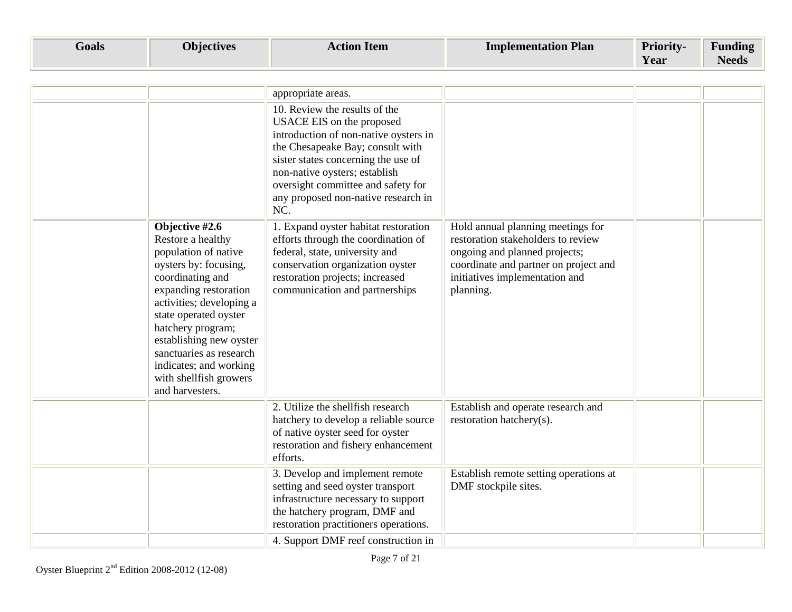| Goals | <b>Objectives</b> | <b>Action Item</b> | <b>Implementation Plan</b> | <b>Priority-</b> | $\mathbf{r}$<br>Funding |
|-------|-------------------|--------------------|----------------------------|------------------|-------------------------|
|       |                   |                    |                            | Year             | <b>Needs</b>            |

|                                                                                                                                                                                                                                                                                                                                          | appropriate areas.                                                                                                                                                                                                                                                                                  |                                                                                                                                                                                                  |  |
|------------------------------------------------------------------------------------------------------------------------------------------------------------------------------------------------------------------------------------------------------------------------------------------------------------------------------------------|-----------------------------------------------------------------------------------------------------------------------------------------------------------------------------------------------------------------------------------------------------------------------------------------------------|--------------------------------------------------------------------------------------------------------------------------------------------------------------------------------------------------|--|
|                                                                                                                                                                                                                                                                                                                                          | 10. Review the results of the<br>USACE EIS on the proposed<br>introduction of non-native oysters in<br>the Chesapeake Bay; consult with<br>sister states concerning the use of<br>non-native oysters; establish<br>oversight committee and safety for<br>any proposed non-native research in<br>NC. |                                                                                                                                                                                                  |  |
| Objective #2.6<br>Restore a healthy<br>population of native<br>oysters by: focusing,<br>coordinating and<br>expanding restoration<br>activities; developing a<br>state operated oyster<br>hatchery program;<br>establishing new oyster<br>sanctuaries as research<br>indicates; and working<br>with shellfish growers<br>and harvesters. | 1. Expand oyster habitat restoration<br>efforts through the coordination of<br>federal, state, university and<br>conservation organization oyster<br>restoration projects; increased<br>communication and partnerships                                                                              | Hold annual planning meetings for<br>restoration stakeholders to review<br>ongoing and planned projects;<br>coordinate and partner on project and<br>initiatives implementation and<br>planning. |  |
|                                                                                                                                                                                                                                                                                                                                          | 2. Utilize the shellfish research<br>hatchery to develop a reliable source<br>of native oyster seed for oyster<br>restoration and fishery enhancement<br>efforts.                                                                                                                                   | Establish and operate research and<br>restoration hatchery(s).                                                                                                                                   |  |
|                                                                                                                                                                                                                                                                                                                                          | 3. Develop and implement remote<br>setting and seed oyster transport<br>infrastructure necessary to support<br>the hatchery program, DMF and<br>restoration practitioners operations.                                                                                                               | Establish remote setting operations at<br>DMF stockpile sites.                                                                                                                                   |  |
|                                                                                                                                                                                                                                                                                                                                          | 4. Support DMF reef construction in                                                                                                                                                                                                                                                                 |                                                                                                                                                                                                  |  |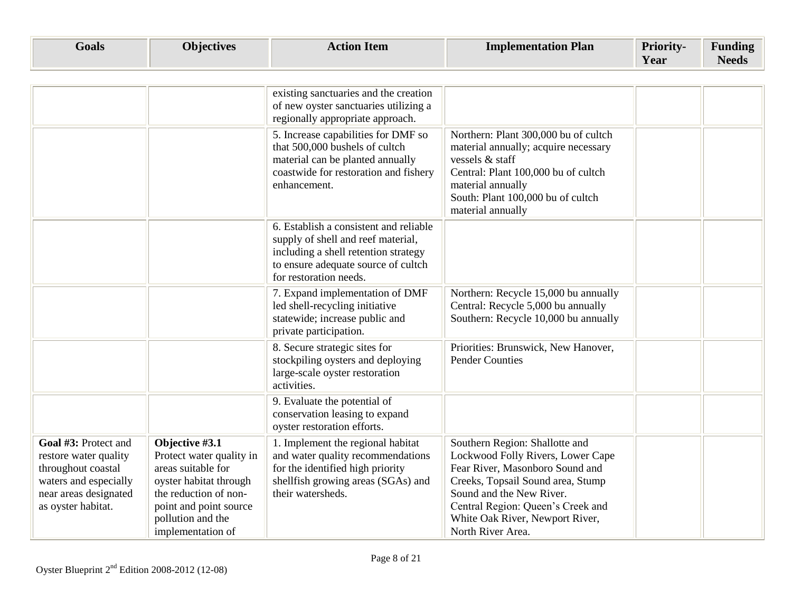| Foals | <b>Phjectives</b> | <b>\ction Item</b> | <b>Implementation Plan</b> | <b>Priority-</b> | $\mathbf{r}$<br>$\mathbf{v}$<br>Funding |
|-------|-------------------|--------------------|----------------------------|------------------|-----------------------------------------|
|       |                   |                    |                            | Year             | $\overline{\phantom{a}}$<br>Needs       |

|                                                                                                                                             |                                                                                                                                                                                         | existing sanctuaries and the creation<br>of new oyster sanctuaries utilizing a<br>regionally appropriate approach.                                                                    |                                                                                                                                                                                                                                                                      |  |
|---------------------------------------------------------------------------------------------------------------------------------------------|-----------------------------------------------------------------------------------------------------------------------------------------------------------------------------------------|---------------------------------------------------------------------------------------------------------------------------------------------------------------------------------------|----------------------------------------------------------------------------------------------------------------------------------------------------------------------------------------------------------------------------------------------------------------------|--|
|                                                                                                                                             |                                                                                                                                                                                         | 5. Increase capabilities for DMF so<br>that 500,000 bushels of cultch<br>material can be planted annually<br>coastwide for restoration and fishery<br>enhancement.                    | Northern: Plant 300,000 bu of cultch<br>material annually; acquire necessary<br>vessels & staff<br>Central: Plant 100,000 bu of cultch<br>material annually<br>South: Plant 100,000 bu of cultch<br>material annually                                                |  |
|                                                                                                                                             |                                                                                                                                                                                         | 6. Establish a consistent and reliable<br>supply of shell and reef material,<br>including a shell retention strategy<br>to ensure adequate source of cultch<br>for restoration needs. |                                                                                                                                                                                                                                                                      |  |
|                                                                                                                                             |                                                                                                                                                                                         | 7. Expand implementation of DMF<br>led shell-recycling initiative<br>statewide; increase public and<br>private participation.                                                         | Northern: Recycle 15,000 bu annually<br>Central: Recycle 5,000 bu annually<br>Southern: Recycle 10,000 bu annually                                                                                                                                                   |  |
|                                                                                                                                             |                                                                                                                                                                                         | 8. Secure strategic sites for<br>stockpiling oysters and deploying<br>large-scale oyster restoration<br>activities.                                                                   | Priorities: Brunswick, New Hanover,<br><b>Pender Counties</b>                                                                                                                                                                                                        |  |
|                                                                                                                                             |                                                                                                                                                                                         | 9. Evaluate the potential of<br>conservation leasing to expand<br>oyster restoration efforts.                                                                                         |                                                                                                                                                                                                                                                                      |  |
| Goal #3: Protect and<br>restore water quality<br>throughout coastal<br>waters and especially<br>near areas designated<br>as oyster habitat. | Objective #3.1<br>Protect water quality in<br>areas suitable for<br>oyster habitat through<br>the reduction of non-<br>point and point source<br>pollution and the<br>implementation of | 1. Implement the regional habitat<br>and water quality recommendations<br>for the identified high priority<br>shellfish growing areas (SGAs) and<br>their watersheds.                 | Southern Region: Shallotte and<br>Lockwood Folly Rivers, Lower Cape<br>Fear River, Masonboro Sound and<br>Creeks, Topsail Sound area, Stump<br>Sound and the New River.<br>Central Region: Queen's Creek and<br>White Oak River, Newport River,<br>North River Area. |  |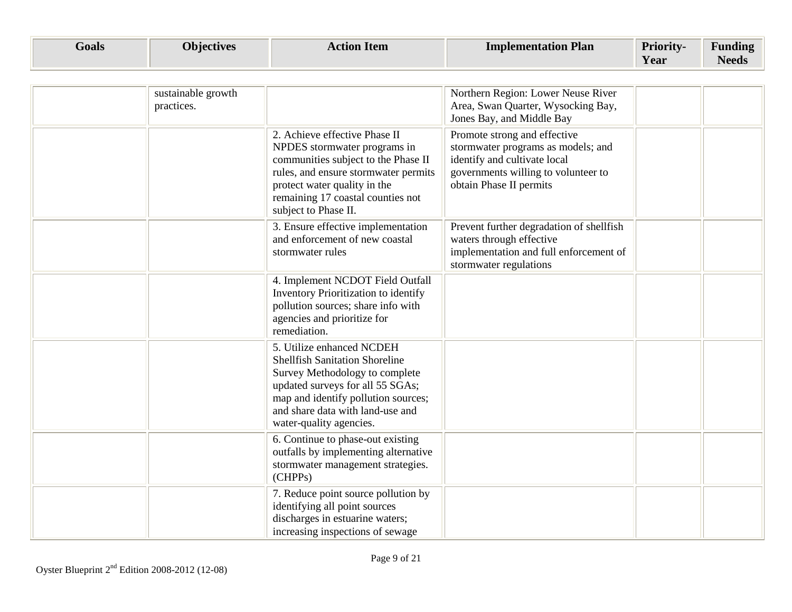| <b>G</b> oals | <b>Objectives</b> | <b>Item</b><br>Actior | <b>Implementation Plan</b> | <b>Priority-</b> | $\overline{\phantom{0}}$<br>Funding |
|---------------|-------------------|-----------------------|----------------------------|------------------|-------------------------------------|
|               |                   |                       |                            | <b>Year</b>      | $\mathbf{r}$<br>Needs               |

| sustainable growth<br>practices. |                                                                                                                                                                                                                                                | Northern Region: Lower Neuse River<br>Area, Swan Quarter, Wysocking Bay,<br>Jones Bay, and Middle Bay                                                                |  |
|----------------------------------|------------------------------------------------------------------------------------------------------------------------------------------------------------------------------------------------------------------------------------------------|----------------------------------------------------------------------------------------------------------------------------------------------------------------------|--|
|                                  | 2. Achieve effective Phase II<br>NPDES stormwater programs in<br>communities subject to the Phase II<br>rules, and ensure stormwater permits<br>protect water quality in the<br>remaining 17 coastal counties not<br>subject to Phase II.      | Promote strong and effective<br>stormwater programs as models; and<br>identify and cultivate local<br>governments willing to volunteer to<br>obtain Phase II permits |  |
|                                  | 3. Ensure effective implementation<br>and enforcement of new coastal<br>stormwater rules                                                                                                                                                       | Prevent further degradation of shellfish<br>waters through effective<br>implementation and full enforcement of<br>stormwater regulations                             |  |
|                                  | 4. Implement NCDOT Field Outfall<br>Inventory Prioritization to identify<br>pollution sources; share info with<br>agencies and prioritize for<br>remediation.                                                                                  |                                                                                                                                                                      |  |
|                                  | 5. Utilize enhanced NCDEH<br><b>Shellfish Sanitation Shoreline</b><br>Survey Methodology to complete<br>updated surveys for all 55 SGAs;<br>map and identify pollution sources;<br>and share data with land-use and<br>water-quality agencies. |                                                                                                                                                                      |  |
|                                  | 6. Continue to phase-out existing<br>outfalls by implementing alternative<br>stormwater management strategies.<br>(CHPPs)                                                                                                                      |                                                                                                                                                                      |  |
|                                  | 7. Reduce point source pollution by<br>identifying all point sources<br>discharges in estuarine waters;<br>increasing inspections of sewage                                                                                                    |                                                                                                                                                                      |  |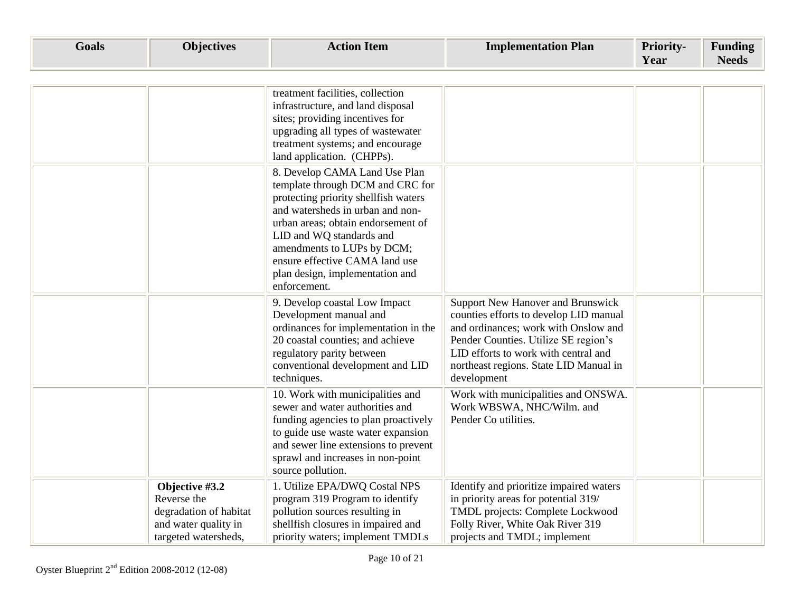| <b>Goals</b> | <b>Objectives</b>                                                                                       | <b>Action Item</b>                                                                                                                                                                                                                                                                                                                 | <b>Implementation Plan</b>                                                                                                                                                                                                                                          | <b>Priority-</b><br>Year | <b>Funding</b><br><b>Needs</b> |
|--------------|---------------------------------------------------------------------------------------------------------|------------------------------------------------------------------------------------------------------------------------------------------------------------------------------------------------------------------------------------------------------------------------------------------------------------------------------------|---------------------------------------------------------------------------------------------------------------------------------------------------------------------------------------------------------------------------------------------------------------------|--------------------------|--------------------------------|
|              |                                                                                                         |                                                                                                                                                                                                                                                                                                                                    |                                                                                                                                                                                                                                                                     |                          |                                |
|              |                                                                                                         | treatment facilities, collection<br>infrastructure, and land disposal<br>sites; providing incentives for<br>upgrading all types of wastewater<br>treatment systems; and encourage<br>land application. (CHPPs).                                                                                                                    |                                                                                                                                                                                                                                                                     |                          |                                |
|              |                                                                                                         | 8. Develop CAMA Land Use Plan<br>template through DCM and CRC for<br>protecting priority shellfish waters<br>and watersheds in urban and non-<br>urban areas; obtain endorsement of<br>LID and WQ standards and<br>amendments to LUPs by DCM;<br>ensure effective CAMA land use<br>plan design, implementation and<br>enforcement. |                                                                                                                                                                                                                                                                     |                          |                                |
|              |                                                                                                         | 9. Develop coastal Low Impact<br>Development manual and<br>ordinances for implementation in the<br>20 coastal counties; and achieve<br>regulatory parity between<br>conventional development and LID<br>techniques.                                                                                                                | <b>Support New Hanover and Brunswick</b><br>counties efforts to develop LID manual<br>and ordinances; work with Onslow and<br>Pender Counties. Utilize SE region's<br>LID efforts to work with central and<br>northeast regions. State LID Manual in<br>development |                          |                                |
|              |                                                                                                         | 10. Work with municipalities and<br>sewer and water authorities and<br>funding agencies to plan proactively<br>to guide use waste water expansion<br>and sewer line extensions to prevent<br>sprawl and increases in non-point<br>source pollution.                                                                                | Work with municipalities and ONSWA.<br>Work WBSWA, NHC/Wilm. and<br>Pender Co utilities.                                                                                                                                                                            |                          |                                |
|              | Objective #3.2<br>Reverse the<br>degradation of habitat<br>and water quality in<br>targeted watersheds, | 1. Utilize EPA/DWQ Costal NPS<br>program 319 Program to identify<br>pollution sources resulting in<br>shellfish closures in impaired and<br>priority waters; implement TMDLs                                                                                                                                                       | Identify and prioritize impaired waters<br>in priority areas for potential 319/<br>TMDL projects: Complete Lockwood<br>Folly River, White Oak River 319<br>projects and TMDL; implement                                                                             |                          |                                |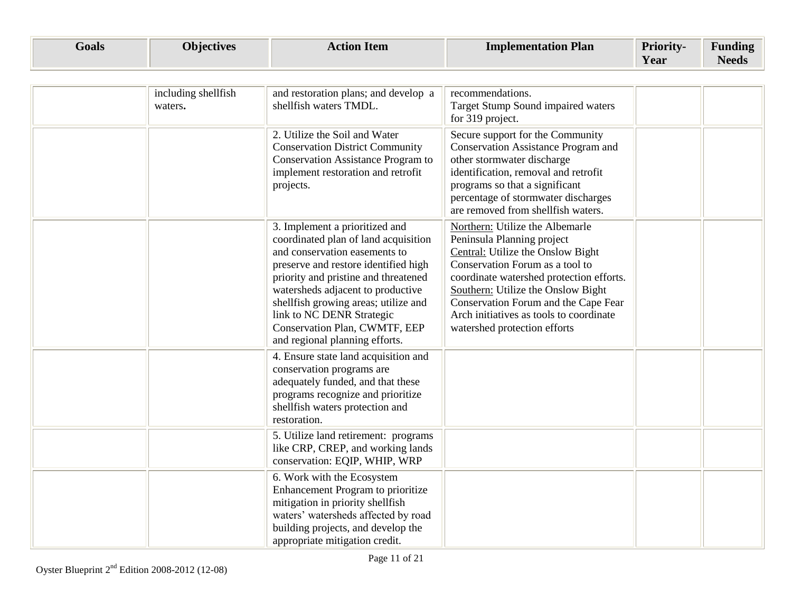| <b>Goals</b> | ╲┓<br>100tivac | . otior -<br><b>Item</b> | <b>Implementation Plan</b> | <b>Priority-</b> | -<br>Funding          |
|--------------|----------------|--------------------------|----------------------------|------------------|-----------------------|
|              |                |                          |                            | Year             | $\mathbf{r}$<br>Needs |

| including shellfish<br>waters. | and restoration plans; and develop a<br>shellfish waters TMDL.                                                                                                                                                                                                                                                                                                       | recommendations.<br>Target Stump Sound impaired waters<br>for 319 project.                                                                                                                                                                                                                                                                 |  |
|--------------------------------|----------------------------------------------------------------------------------------------------------------------------------------------------------------------------------------------------------------------------------------------------------------------------------------------------------------------------------------------------------------------|--------------------------------------------------------------------------------------------------------------------------------------------------------------------------------------------------------------------------------------------------------------------------------------------------------------------------------------------|--|
|                                | 2. Utilize the Soil and Water<br><b>Conservation District Community</b><br>Conservation Assistance Program to<br>implement restoration and retrofit<br>projects.                                                                                                                                                                                                     | Secure support for the Community<br>Conservation Assistance Program and<br>other stormwater discharge<br>identification, removal and retrofit<br>programs so that a significant<br>percentage of stormwater discharges<br>are removed from shellfish waters.                                                                               |  |
|                                | 3. Implement a prioritized and<br>coordinated plan of land acquisition<br>and conservation easements to<br>preserve and restore identified high<br>priority and pristine and threatened<br>watersheds adjacent to productive<br>shellfish growing areas; utilize and<br>link to NC DENR Strategic<br>Conservation Plan, CWMTF, EEP<br>and regional planning efforts. | Northern: Utilize the Albemarle<br>Peninsula Planning project<br>Central: Utilize the Onslow Bight<br>Conservation Forum as a tool to<br>coordinate watershed protection efforts.<br>Southern: Utilize the Onslow Bight<br>Conservation Forum and the Cape Fear<br>Arch initiatives as tools to coordinate<br>watershed protection efforts |  |
|                                | 4. Ensure state land acquisition and<br>conservation programs are<br>adequately funded, and that these<br>programs recognize and prioritize<br>shellfish waters protection and<br>restoration.                                                                                                                                                                       |                                                                                                                                                                                                                                                                                                                                            |  |
|                                | 5. Utilize land retirement: programs<br>like CRP, CREP, and working lands<br>conservation: EQIP, WHIP, WRP                                                                                                                                                                                                                                                           |                                                                                                                                                                                                                                                                                                                                            |  |
|                                | 6. Work with the Ecosystem<br>Enhancement Program to prioritize<br>mitigation in priority shellfish<br>waters' watersheds affected by road<br>building projects, and develop the<br>appropriate mitigation credit.                                                                                                                                                   |                                                                                                                                                                                                                                                                                                                                            |  |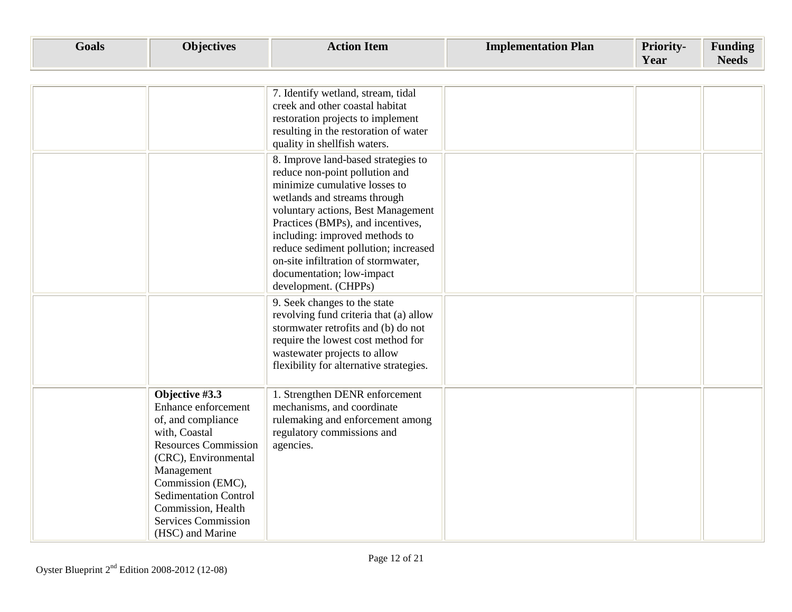| <b>Goals</b> | <b>Objectives</b>                                                                                                                                                                                                                                                              | <b>Action Item</b>                                                                                                                                                                                                                                                                                                                                                                                                      | <b>Implementation Plan</b> | Priority-<br>Year | <b>Funding</b><br><b>Needs</b> |
|--------------|--------------------------------------------------------------------------------------------------------------------------------------------------------------------------------------------------------------------------------------------------------------------------------|-------------------------------------------------------------------------------------------------------------------------------------------------------------------------------------------------------------------------------------------------------------------------------------------------------------------------------------------------------------------------------------------------------------------------|----------------------------|-------------------|--------------------------------|
|              |                                                                                                                                                                                                                                                                                | 7. Identify wetland, stream, tidal<br>creek and other coastal habitat<br>restoration projects to implement<br>resulting in the restoration of water                                                                                                                                                                                                                                                                     |                            |                   |                                |
|              |                                                                                                                                                                                                                                                                                | quality in shellfish waters.<br>8. Improve land-based strategies to<br>reduce non-point pollution and<br>minimize cumulative losses to<br>wetlands and streams through<br>voluntary actions, Best Management<br>Practices (BMPs), and incentives,<br>including: improved methods to<br>reduce sediment pollution; increased<br>on-site infiltration of stormwater,<br>documentation; low-impact<br>development. (CHPPs) |                            |                   |                                |
|              |                                                                                                                                                                                                                                                                                | 9. Seek changes to the state<br>revolving fund criteria that (a) allow<br>stormwater retrofits and (b) do not<br>require the lowest cost method for<br>wastewater projects to allow<br>flexibility for alternative strategies.                                                                                                                                                                                          |                            |                   |                                |
|              | Objective #3.3<br>Enhance enforcement<br>of, and compliance<br>with, Coastal<br><b>Resources Commission</b><br>(CRC), Environmental<br>Management<br>Commission (EMC),<br><b>Sedimentation Control</b><br>Commission, Health<br><b>Services Commission</b><br>(HSC) and Marine | 1. Strengthen DENR enforcement<br>mechanisms, and coordinate<br>rulemaking and enforcement among<br>regulatory commissions and<br>agencies.                                                                                                                                                                                                                                                                             |                            |                   |                                |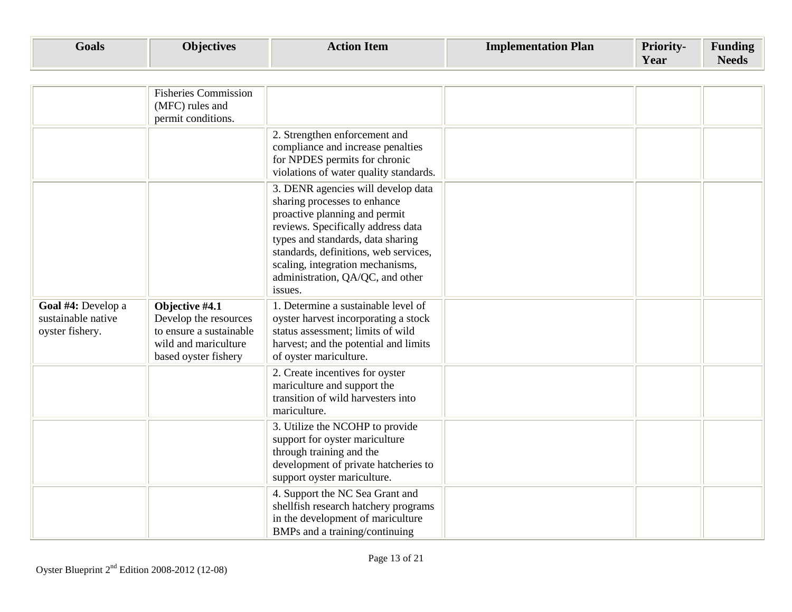| Goals | $\mathbf{u}$<br><i>D</i> iectives | ction Item | <b>Implementation Plan</b> | <b>Priority-</b> | Funding |
|-------|-----------------------------------|------------|----------------------------|------------------|---------|
|       |                                   |            |                            | Year             | ACCAP   |

|                                                             | <b>Fisheries Commission</b><br>(MFC) rules and<br>permit conditions.                                               |                                                                                                                                                                                                                                                                                                            |  |  |
|-------------------------------------------------------------|--------------------------------------------------------------------------------------------------------------------|------------------------------------------------------------------------------------------------------------------------------------------------------------------------------------------------------------------------------------------------------------------------------------------------------------|--|--|
|                                                             |                                                                                                                    | 2. Strengthen enforcement and<br>compliance and increase penalties<br>for NPDES permits for chronic<br>violations of water quality standards.                                                                                                                                                              |  |  |
|                                                             |                                                                                                                    | 3. DENR agencies will develop data<br>sharing processes to enhance<br>proactive planning and permit<br>reviews. Specifically address data<br>types and standards, data sharing<br>standards, definitions, web services,<br>scaling, integration mechanisms,<br>administration, QA/QC, and other<br>issues. |  |  |
| Goal #4: Develop a<br>sustainable native<br>oyster fishery. | Objective #4.1<br>Develop the resources<br>to ensure a sustainable<br>wild and mariculture<br>based oyster fishery | 1. Determine a sustainable level of<br>oyster harvest incorporating a stock<br>status assessment; limits of wild<br>harvest; and the potential and limits<br>of oyster mariculture.                                                                                                                        |  |  |
|                                                             |                                                                                                                    | 2. Create incentives for oyster<br>mariculture and support the<br>transition of wild harvesters into<br>mariculture.                                                                                                                                                                                       |  |  |
|                                                             |                                                                                                                    | 3. Utilize the NCOHP to provide<br>support for oyster mariculture<br>through training and the<br>development of private hatcheries to<br>support oyster mariculture.                                                                                                                                       |  |  |
|                                                             |                                                                                                                    | 4. Support the NC Sea Grant and<br>shellfish research hatchery programs<br>in the development of mariculture<br>BMPs and a training/continuing                                                                                                                                                             |  |  |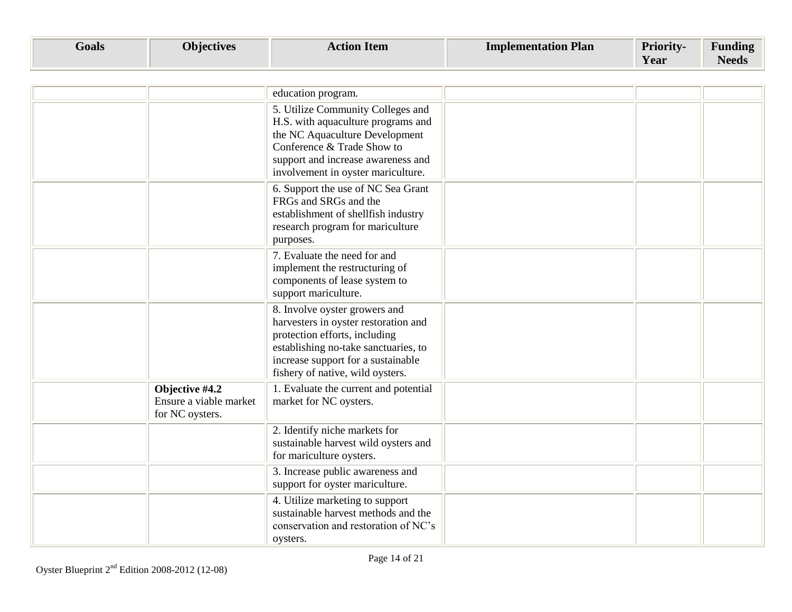| <b>Goals</b> | <b>Objectives</b> | ction.<br><b>Item</b> | <b>Implementation Plan</b> | <b>Priority-</b> | $\blacksquare$        |
|--------------|-------------------|-----------------------|----------------------------|------------------|-----------------------|
|              |                   |                       |                            | Year             | $\mathbf{r}$<br>Needs |

|                                                             | education program.                                                                                                                                                                                                       |  |  |
|-------------------------------------------------------------|--------------------------------------------------------------------------------------------------------------------------------------------------------------------------------------------------------------------------|--|--|
|                                                             | 5. Utilize Community Colleges and<br>H.S. with aquaculture programs and<br>the NC Aquaculture Development<br>Conference & Trade Show to<br>support and increase awareness and<br>involvement in oyster mariculture.      |  |  |
|                                                             | 6. Support the use of NC Sea Grant<br>FRGs and SRGs and the<br>establishment of shellfish industry<br>research program for mariculture<br>purposes.                                                                      |  |  |
|                                                             | 7. Evaluate the need for and<br>implement the restructuring of<br>components of lease system to<br>support mariculture.                                                                                                  |  |  |
|                                                             | 8. Involve oyster growers and<br>harvesters in oyster restoration and<br>protection efforts, including<br>establishing no-take sanctuaries, to<br>increase support for a sustainable<br>fishery of native, wild oysters. |  |  |
| Objective #4.2<br>Ensure a viable market<br>for NC oysters. | 1. Evaluate the current and potential<br>market for NC oysters.                                                                                                                                                          |  |  |
|                                                             | 2. Identify niche markets for<br>sustainable harvest wild oysters and<br>for mariculture oysters.                                                                                                                        |  |  |
|                                                             | 3. Increase public awareness and<br>support for oyster mariculture.                                                                                                                                                      |  |  |
|                                                             | 4. Utilize marketing to support<br>sustainable harvest methods and the<br>conservation and restoration of NC's<br>oysters.                                                                                               |  |  |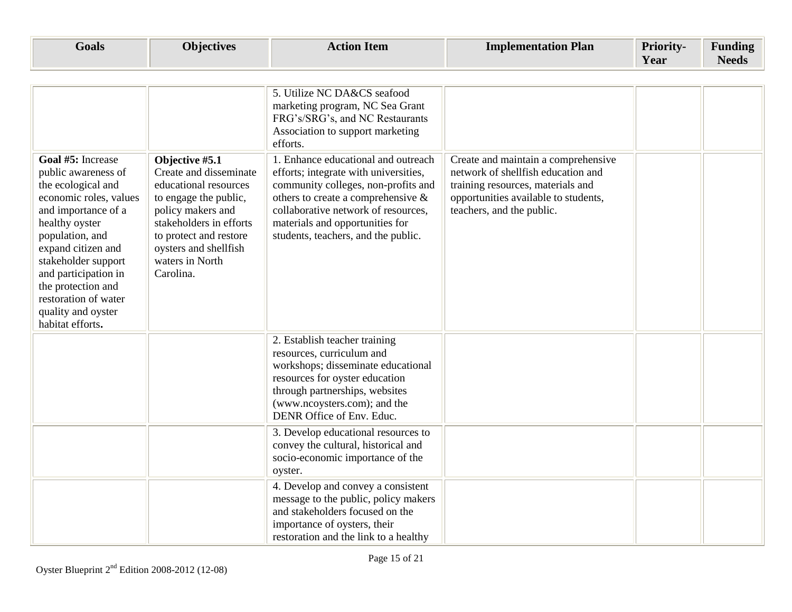| <b>Goals</b>                                                                                                                                                                                                                                                                                                      | <b>Objectives</b>                                                                                                                                                                                                             | <b>Action Item</b>                                                                                                                                                                                                                                                                                                                                                                                                                 | <b>Implementation Plan</b>                                                                                                                                                          | <b>Priority-</b><br>Year | <b>Funding</b><br><b>Needs</b> |
|-------------------------------------------------------------------------------------------------------------------------------------------------------------------------------------------------------------------------------------------------------------------------------------------------------------------|-------------------------------------------------------------------------------------------------------------------------------------------------------------------------------------------------------------------------------|------------------------------------------------------------------------------------------------------------------------------------------------------------------------------------------------------------------------------------------------------------------------------------------------------------------------------------------------------------------------------------------------------------------------------------|-------------------------------------------------------------------------------------------------------------------------------------------------------------------------------------|--------------------------|--------------------------------|
| Goal #5: Increase<br>public awareness of<br>the ecological and<br>economic roles, values<br>and importance of a<br>healthy oyster<br>population, and<br>expand citizen and<br>stakeholder support<br>and participation in<br>the protection and<br>restoration of water<br>quality and oyster<br>habitat efforts. | Objective #5.1<br>Create and disseminate<br>educational resources<br>to engage the public,<br>policy makers and<br>stakeholders in efforts<br>to protect and restore<br>oysters and shellfish<br>waters in North<br>Carolina. | 5. Utilize NC DA&CS seafood<br>marketing program, NC Sea Grant<br>FRG's/SRG's, and NC Restaurants<br>Association to support marketing<br>efforts.<br>1. Enhance educational and outreach<br>efforts; integrate with universities,<br>community colleges, non-profits and<br>others to create a comprehensive $\&$<br>collaborative network of resources,<br>materials and opportunities for<br>students, teachers, and the public. | Create and maintain a comprehensive<br>network of shellfish education and<br>training resources, materials and<br>opportunities available to students,<br>teachers, and the public. |                          |                                |
|                                                                                                                                                                                                                                                                                                                   |                                                                                                                                                                                                                               | 2. Establish teacher training<br>resources, curriculum and<br>workshops; disseminate educational<br>resources for oyster education<br>through partnerships, websites<br>(www.ncoysters.com); and the<br>DENR Office of Env. Educ.<br>3. Develop educational resources to<br>convey the cultural, historical and<br>socio-economic importance of the                                                                                |                                                                                                                                                                                     |                          |                                |
|                                                                                                                                                                                                                                                                                                                   |                                                                                                                                                                                                                               | oyster.<br>4. Develop and convey a consistent<br>message to the public, policy makers<br>and stakeholders focused on the<br>importance of oysters, their<br>restoration and the link to a healthy                                                                                                                                                                                                                                  |                                                                                                                                                                                     |                          |                                |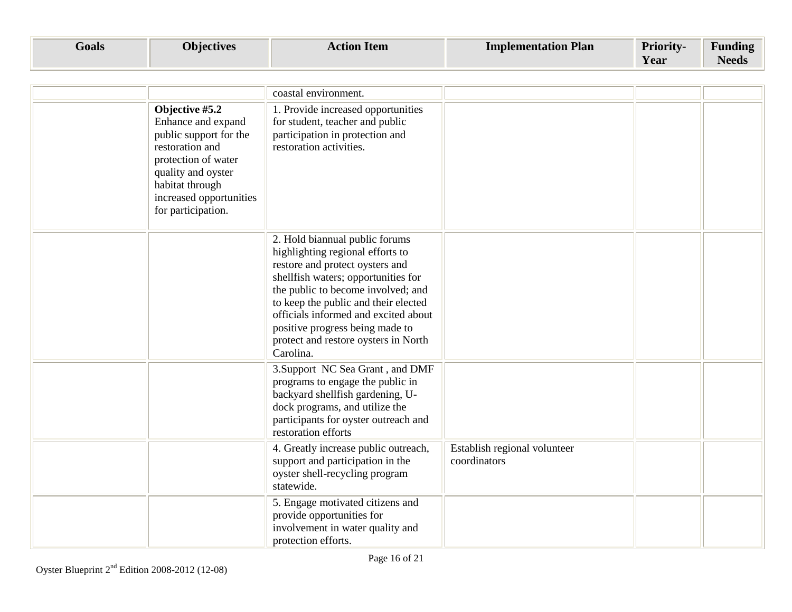| Goals | <b>Objectives</b> | <b>Item</b><br>Action | <b>Plan</b><br>Implementation | <b>Priority-</b> | $\mathbf{r}$<br>$\blacksquare$<br>Funding |
|-------|-------------------|-----------------------|-------------------------------|------------------|-------------------------------------------|
|       |                   |                       |                               | Year             | Needs                                     |

|                                                                                                                                                                                                    | coastal environment.                                                                                                                                                                                                                                                                                                                                       |                                              |  |
|----------------------------------------------------------------------------------------------------------------------------------------------------------------------------------------------------|------------------------------------------------------------------------------------------------------------------------------------------------------------------------------------------------------------------------------------------------------------------------------------------------------------------------------------------------------------|----------------------------------------------|--|
| Objective #5.2<br>Enhance and expand<br>public support for the<br>restoration and<br>protection of water<br>quality and oyster<br>habitat through<br>increased opportunities<br>for participation. | 1. Provide increased opportunities<br>for student, teacher and public<br>participation in protection and<br>restoration activities.                                                                                                                                                                                                                        |                                              |  |
|                                                                                                                                                                                                    | 2. Hold biannual public forums<br>highlighting regional efforts to<br>restore and protect oysters and<br>shellfish waters; opportunities for<br>the public to become involved; and<br>to keep the public and their elected<br>officials informed and excited about<br>positive progress being made to<br>protect and restore oysters in North<br>Carolina. |                                              |  |
|                                                                                                                                                                                                    | 3. Support NC Sea Grant, and DMF<br>programs to engage the public in<br>backyard shellfish gardening, U-<br>dock programs, and utilize the<br>participants for oyster outreach and<br>restoration efforts                                                                                                                                                  |                                              |  |
|                                                                                                                                                                                                    | 4. Greatly increase public outreach,<br>support and participation in the<br>oyster shell-recycling program<br>statewide.                                                                                                                                                                                                                                   | Establish regional volunteer<br>coordinators |  |
|                                                                                                                                                                                                    | 5. Engage motivated citizens and<br>provide opportunities for<br>involvement in water quality and<br>protection efforts.                                                                                                                                                                                                                                   |                                              |  |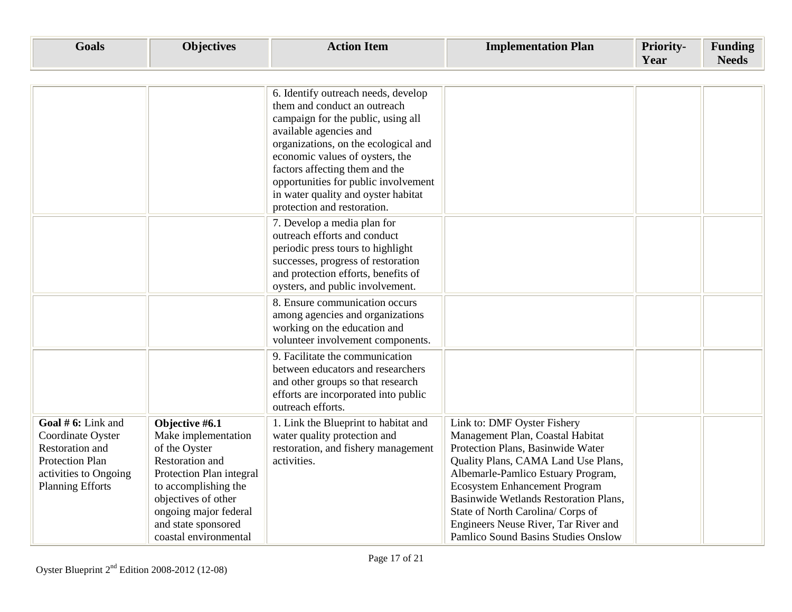| <b>Goals</b>                                                                                                                             | <b>Objectives</b>                                                                                                                                                                                                             | <b>Action Item</b>                                                                                                                                                                                                                                                                                                                                             | <b>Implementation Plan</b>                                                                                                                                                                                                                                                                                                                                                             | Priority-<br>Year | <b>Funding</b><br><b>Needs</b> |
|------------------------------------------------------------------------------------------------------------------------------------------|-------------------------------------------------------------------------------------------------------------------------------------------------------------------------------------------------------------------------------|----------------------------------------------------------------------------------------------------------------------------------------------------------------------------------------------------------------------------------------------------------------------------------------------------------------------------------------------------------------|----------------------------------------------------------------------------------------------------------------------------------------------------------------------------------------------------------------------------------------------------------------------------------------------------------------------------------------------------------------------------------------|-------------------|--------------------------------|
|                                                                                                                                          |                                                                                                                                                                                                                               |                                                                                                                                                                                                                                                                                                                                                                |                                                                                                                                                                                                                                                                                                                                                                                        |                   |                                |
|                                                                                                                                          |                                                                                                                                                                                                                               | 6. Identify outreach needs, develop<br>them and conduct an outreach<br>campaign for the public, using all<br>available agencies and<br>organizations, on the ecological and<br>economic values of oysters, the<br>factors affecting them and the<br>opportunities for public involvement<br>in water quality and oyster habitat<br>protection and restoration. |                                                                                                                                                                                                                                                                                                                                                                                        |                   |                                |
|                                                                                                                                          |                                                                                                                                                                                                                               | 7. Develop a media plan for<br>outreach efforts and conduct<br>periodic press tours to highlight<br>successes, progress of restoration<br>and protection efforts, benefits of<br>oysters, and public involvement.                                                                                                                                              |                                                                                                                                                                                                                                                                                                                                                                                        |                   |                                |
|                                                                                                                                          |                                                                                                                                                                                                                               | 8. Ensure communication occurs<br>among agencies and organizations<br>working on the education and<br>volunteer involvement components.                                                                                                                                                                                                                        |                                                                                                                                                                                                                                                                                                                                                                                        |                   |                                |
|                                                                                                                                          |                                                                                                                                                                                                                               | 9. Facilitate the communication<br>between educators and researchers<br>and other groups so that research<br>efforts are incorporated into public<br>outreach efforts.                                                                                                                                                                                         |                                                                                                                                                                                                                                                                                                                                                                                        |                   |                                |
| Goal # 6: Link and<br>Coordinate Oyster<br>Restoration and<br><b>Protection Plan</b><br>activities to Ongoing<br><b>Planning Efforts</b> | Objective #6.1<br>Make implementation<br>of the Oyster<br>Restoration and<br>Protection Plan integral<br>to accomplishing the<br>objectives of other<br>ongoing major federal<br>and state sponsored<br>coastal environmental | 1. Link the Blueprint to habitat and<br>water quality protection and<br>restoration, and fishery management<br>activities.                                                                                                                                                                                                                                     | Link to: DMF Oyster Fishery<br>Management Plan, Coastal Habitat<br>Protection Plans, Basinwide Water<br>Quality Plans, CAMA Land Use Plans,<br>Albemarle-Pamlico Estuary Program,<br><b>Ecosystem Enhancement Program</b><br>Basinwide Wetlands Restoration Plans,<br>State of North Carolina/ Corps of<br>Engineers Neuse River, Tar River and<br>Pamlico Sound Basins Studies Onslow |                   |                                |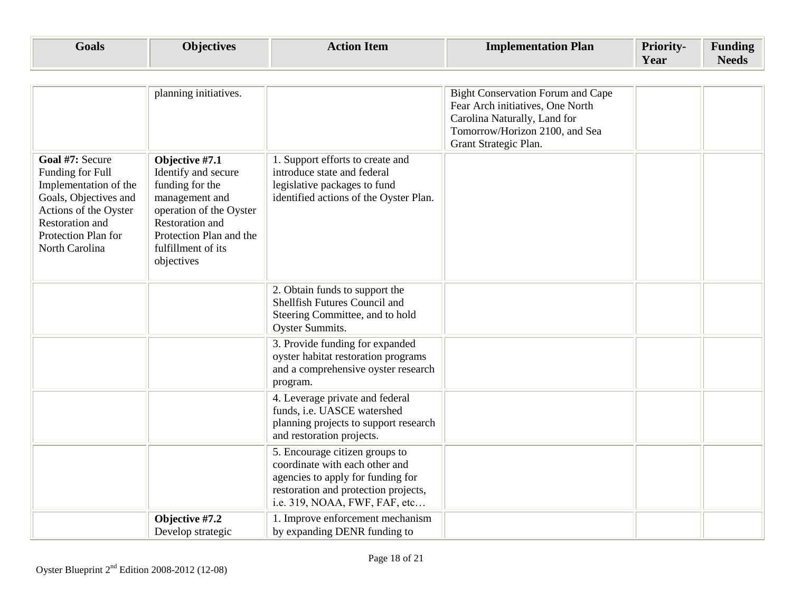| Goals | <b>Objectives</b> | Action Item | <b>Implementation Plan</b> | <b>Priority-</b> | Funding               |
|-------|-------------------|-------------|----------------------------|------------------|-----------------------|
|       |                   |             |                            | Y ear            | $\mathbf{v}$<br>Needs |

|                                                                                                                                                                            | planning initiatives.                                                                                                                                                                          |                                                                                                                                                                                | <b>Bight Conservation Forum and Cape</b><br>Fear Arch initiatives, One North<br>Carolina Naturally, Land for<br>Tomorrow/Horizon 2100, and Sea<br>Grant Strategic Plan. |  |
|----------------------------------------------------------------------------------------------------------------------------------------------------------------------------|------------------------------------------------------------------------------------------------------------------------------------------------------------------------------------------------|--------------------------------------------------------------------------------------------------------------------------------------------------------------------------------|-------------------------------------------------------------------------------------------------------------------------------------------------------------------------|--|
| Goal #7: Secure<br>Funding for Full<br>Implementation of the<br>Goals, Objectives and<br>Actions of the Oyster<br>Restoration and<br>Protection Plan for<br>North Carolina | Objective #7.1<br>Identify and secure<br>funding for the<br>management and<br>operation of the Oyster<br><b>Restoration</b> and<br>Protection Plan and the<br>fulfillment of its<br>objectives | 1. Support efforts to create and<br>introduce state and federal<br>legislative packages to fund<br>identified actions of the Oyster Plan.                                      |                                                                                                                                                                         |  |
|                                                                                                                                                                            |                                                                                                                                                                                                | 2. Obtain funds to support the<br>Shellfish Futures Council and<br>Steering Committee, and to hold<br>Oyster Summits.                                                          |                                                                                                                                                                         |  |
|                                                                                                                                                                            |                                                                                                                                                                                                | 3. Provide funding for expanded<br>oyster habitat restoration programs<br>and a comprehensive oyster research<br>program.                                                      |                                                                                                                                                                         |  |
|                                                                                                                                                                            |                                                                                                                                                                                                | 4. Leverage private and federal<br>funds, i.e. UASCE watershed<br>planning projects to support research<br>and restoration projects.                                           |                                                                                                                                                                         |  |
|                                                                                                                                                                            |                                                                                                                                                                                                | 5. Encourage citizen groups to<br>coordinate with each other and<br>agencies to apply for funding for<br>restoration and protection projects,<br>i.e. 319, NOAA, FWF, FAF, etc |                                                                                                                                                                         |  |
|                                                                                                                                                                            | Objective #7.2<br>Develop strategic                                                                                                                                                            | 1. Improve enforcement mechanism<br>by expanding DENR funding to                                                                                                               |                                                                                                                                                                         |  |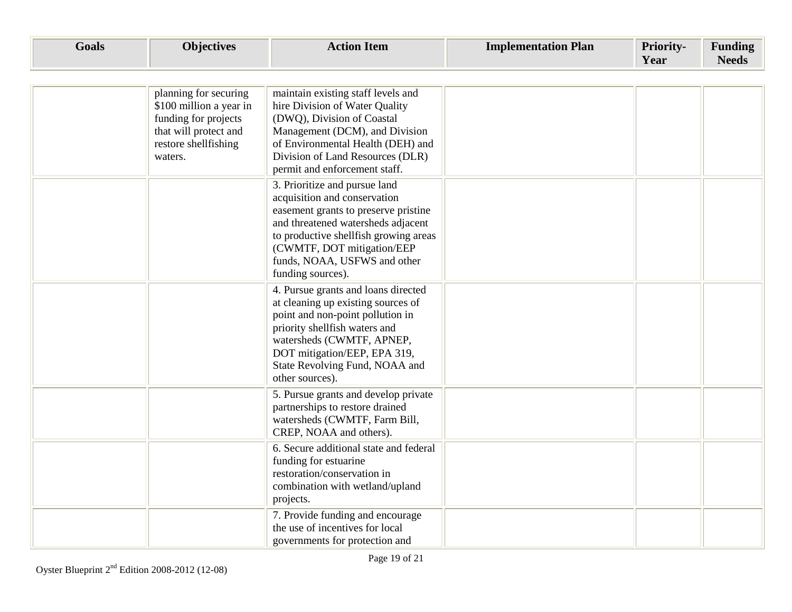| <b>Goals</b> | <b>Objectives</b>                                                                                                                    | <b>Action Item</b>                                                                                                                                                                                                                                                      | <b>Implementation Plan</b> | <b>Priority-</b><br>Year | <b>Funding</b><br><b>Needs</b> |
|--------------|--------------------------------------------------------------------------------------------------------------------------------------|-------------------------------------------------------------------------------------------------------------------------------------------------------------------------------------------------------------------------------------------------------------------------|----------------------------|--------------------------|--------------------------------|
|              |                                                                                                                                      |                                                                                                                                                                                                                                                                         |                            |                          |                                |
|              | planning for securing<br>\$100 million a year in<br>funding for projects<br>that will protect and<br>restore shellfishing<br>waters. | maintain existing staff levels and<br>hire Division of Water Quality<br>(DWQ), Division of Coastal<br>Management (DCM), and Division<br>of Environmental Health (DEH) and<br>Division of Land Resources (DLR)<br>permit and enforcement staff.                          |                            |                          |                                |
|              |                                                                                                                                      | 3. Prioritize and pursue land<br>acquisition and conservation<br>easement grants to preserve pristine<br>and threatened watersheds adjacent<br>to productive shellfish growing areas<br>(CWMTF, DOT mitigation/EEP<br>funds, NOAA, USFWS and other<br>funding sources). |                            |                          |                                |
|              |                                                                                                                                      | 4. Pursue grants and loans directed<br>at cleaning up existing sources of<br>point and non-point pollution in<br>priority shellfish waters and<br>watersheds (CWMTF, APNEP,<br>DOT mitigation/EEP, EPA 319,<br>State Revolving Fund, NOAA and<br>other sources).        |                            |                          |                                |
|              |                                                                                                                                      | 5. Pursue grants and develop private<br>partnerships to restore drained<br>watersheds (CWMTF, Farm Bill,<br>CREP, NOAA and others).                                                                                                                                     |                            |                          |                                |
|              |                                                                                                                                      | 6. Secure additional state and federal<br>funding for estuarine<br>restoration/conservation in<br>combination with wetland/upland<br>projects.                                                                                                                          |                            |                          |                                |
|              |                                                                                                                                      | 7. Provide funding and encourage<br>the use of incentives for local<br>governments for protection and                                                                                                                                                                   |                            |                          |                                |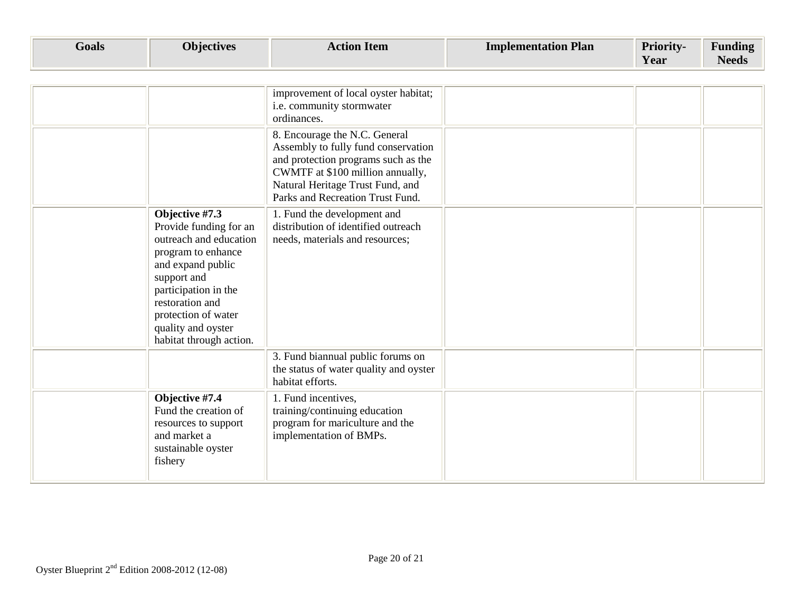| <b>Goals</b> | <b>Objectives</b>                                                                                                                                                                                                                               | <b>Action Item</b>                                                                                                                                                                                                      | <b>Implementation Plan</b> | Priority-<br>Year | <b>Funding</b><br><b>Needs</b> |
|--------------|-------------------------------------------------------------------------------------------------------------------------------------------------------------------------------------------------------------------------------------------------|-------------------------------------------------------------------------------------------------------------------------------------------------------------------------------------------------------------------------|----------------------------|-------------------|--------------------------------|
|              |                                                                                                                                                                                                                                                 |                                                                                                                                                                                                                         |                            |                   |                                |
|              |                                                                                                                                                                                                                                                 | improvement of local oyster habitat;<br>i.e. community stormwater<br>ordinances.                                                                                                                                        |                            |                   |                                |
|              |                                                                                                                                                                                                                                                 | 8. Encourage the N.C. General<br>Assembly to fully fund conservation<br>and protection programs such as the<br>CWMTF at \$100 million annually,<br>Natural Heritage Trust Fund, and<br>Parks and Recreation Trust Fund. |                            |                   |                                |
|              | Objective #7.3<br>Provide funding for an<br>outreach and education<br>program to enhance<br>and expand public<br>support and<br>participation in the<br>restoration and<br>protection of water<br>quality and oyster<br>habitat through action. | 1. Fund the development and<br>distribution of identified outreach<br>needs, materials and resources;                                                                                                                   |                            |                   |                                |
|              |                                                                                                                                                                                                                                                 | 3. Fund biannual public forums on<br>the status of water quality and oyster<br>habitat efforts.                                                                                                                         |                            |                   |                                |
|              | Objective #7.4<br>Fund the creation of<br>resources to support<br>and market a<br>sustainable oyster<br>fishery                                                                                                                                 | 1. Fund incentives,<br>training/continuing education<br>program for mariculture and the<br>implementation of BMPs.                                                                                                      |                            |                   |                                |